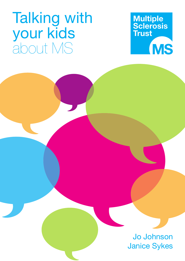# Talking with your kids about MS



Jo Johnson Janice Sykes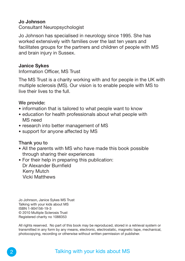### **Jo Johnson**

Consultant Neuropsychologist

Jo Johnson has specialised in neurology since 1995. She has worked extensively with families over the last ten years and facilitates groups for the partners and children of people with MS and brain injury in Sussex.

#### **Janice Sykes**

Information Officer, MS Trust

The MS Trust is a charity working with and for people in the UK with multiple sclerosis (MS). Our vision is to enable people with MS to live their lives to the full.

#### **We provide:**

- information that is tailored to what people want to know
- education for health professionals about what people with MS need
- research into better management of MS
- support for anyone affected by MS

#### **Thank you to**

- All the parents with MS who have made this book possible through sharing their experiences
- For their help in preparing this publication: Dr Alexander Burnfield Kerry Mutch Vicki Matthews

Jo Johnson, Janice Sykes MS Trust Talking with your kids about MS ISBN 1-904156-19-3 © 2010 Multiple Sclerosis Trust Registered charity no 1088353

All rights reserved. No part of this book may be reproduced, stored in a retrieval system or transmitted in any form by any means, electronic, electrostatic, magnetic tape, mechanical, photocopying, recording or otherwise without written permission of publisher.

### Talking with your kids about MS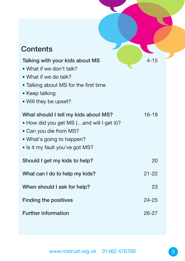## **Contents**

| Talking with your kids about MS           | $4 - 15$  |  |
|-------------------------------------------|-----------|--|
| • What if we don't talk?                  |           |  |
| • What if we do talk?                     |           |  |
| • Talking about MS for the first time     |           |  |
| • Keep talking                            |           |  |
| • Will they be upset?                     |           |  |
| What should I tell my kids about MS?      | $16 - 19$ |  |
| • How did you get MS (and will I get it)? |           |  |
| • Can you die from MS?                    |           |  |
| • What's going to happen?                 |           |  |
| . Is it my fault you've got MS?           |           |  |
| Should I get my kids to help?             | 20        |  |
| What can I do to help my kids?            | $21 - 22$ |  |
| When should I ask for help?               | 23        |  |
| <b>Finding the positives</b>              | $24 - 25$ |  |
| <b>Further information</b>                | $26 - 27$ |  |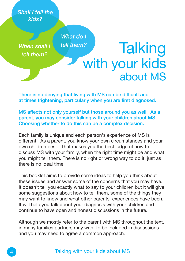*Shall I tell the kids?*

*When shall I tell them? tell them?*

*What do I*

# **Talking** with your kids about MS

**There is no denying that living with MS can be difficult and at times frightening, particularly when you are first diagnosed.**

**MS affects not only yourself but those around you as well. As a parent, you may consider talking with your children about MS. Choosing whether to do this can be a complex decision.**

Each family is unique and each person's experience of MS is different. As a parent, you know your own circumstances and your own children best. That makes you the best judge of how to discuss MS with your family, when the right time might be and what you might tell them. There is no right or wrong way to do it, just as there is no ideal time.

This booklet aims to provide some ideas to help you think about these issues and answer some of the concerns that you may have. It doesn't tell you exactly what to say to your children but it will give some suggestions about how to tell them, some of the things they may want to know and what other parents' experiences have been. It will help you talk about your diagnosis with your children and continue to have open and honest discussions in the future.

Although we mostly refer to the parent with MS throughout the text, in many families partners may want to be included in discussions and you may need to agree a common approach.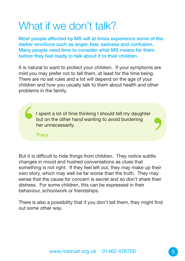# What if we don't talk?

**Most people affected by MS will at times experience some of the darker emotions such as anger, fear, sadness and confusion. Many people need time to consider what MS means for them before they feel ready to talk about it to their children.**

It is natural to want to protect your children. If your symptoms are mild you may prefer not to tell them, at least for the time being. There are no set rules and a lot will depend on the age of your children and how you usually talk to them about health and other problems in the family.

I spent a lot of time thinking I should tell my daughter but on the other hand wanting to avoid burdening her unnecessarily.  $\frac{1}{\frac{1}{\pi}}$ 

**Tracy**

But it is difficult to hide things from children. They notice subtle changes in mood and hushed conversations as clues that something is not right. If they feel left out, they may make up their own story, which may well be far worse than the truth. They may sense that the cause for concern is secret and so don't share their distress. For some children, this can be expressed in their behaviour, schoolwork or friendships.

There is also a possibility that if you don't tell them, they might find out some other way.

'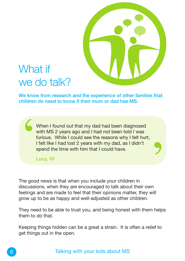

<u>)</u>

# What if we do talk?

**We know from research and the experience of other families that children do need to know if their mum or dad has MS.**

When I found out that my dad had been diagnosed with MS 2 years ago and I had not been told I was furious. While I could see the reasons why I felt hurt, I felt like I had lost 2 years with my dad, as I didn't spend the time with him that I could have. When I found out that my dad had been d<br>with MS 2 years ago and I had not been to<br>furious. While I could see the reasons when<br>I felt like I had lost 2 years with my dad, as<br>spend the time with him that I could have.<br>Lucy,

**Lucy, 16**

The good news is that when you include your children in discussions, when they are encouraged to talk about their own feelings and are made to feel that their opinions matter, they will grow up to be as happy and well-adjusted as other children.

They need to be able to trust you, and being honest with them helps them to do that.

Keeping things hidden can be a great a strain. It is often a relief to get things out in the open.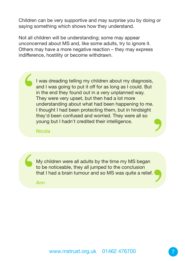Children can be very supportive and may surprise you by doing or saying something which shows how they understand.

Not all children will be understanding; some may appear unconcerned about MS and, like some adults, try to ignore it. Others may have a more negative reaction – they may express indifference, hostility or become withdrawn.

I was dreading telling my children about my diagnosis, and I was going to put it off for as long as I could. But in the end they found out in a very unplanned way. They were very upset, but then had a lot more understanding about what had been happening to me. I thought I had been protecting them, but in hindsight they'd been confused and worried. They were all so young but I hadn't credited their intelligence. | <u>,</u>

**Nicola**

My children were all adults by the time my MS began to be noticeable, they all jumped to the conclusion that I had a brain tumour and so MS was quite a relief.  $\frac{1}{t}$ **)** 

**Ann**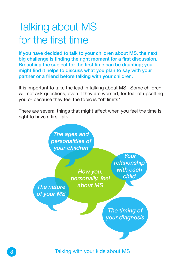# Talking about MS for the first time

**If you have decided to talk to your children about MS, the next big challenge is finding the right moment for a first discussion. Broaching the subject for the first time can be daunting; you might find it helps to discuss what you plan to say with your partner or a friend before talking with your children.**

It is important to take the lead in talking about MS. Some children will not ask questions, even if they are worried, for fear of upsetting you or because they feel the topic is "off limits".

There are several things that might affect when you feel the time is right to have a first talk:



Talking with your kids about MS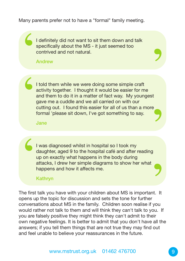Many parents prefer not to have a "formal" family meeting.

I definitely did not want to sit them down and talk specifically about the MS - it just seemed too contrived and not natural.  $\frac{1}{2}$ 

**Andrew**

I told them while we were doing some simple craft activity together. I thought it would be easier for me and them to do it in a matter of fact way. My youngest gave me a cuddle and we all carried on with our cutting out. I found this easier for all of us than a more formal 'please sit down, I've got something to say. **1** <u>,</u>

**Jane**

I was diagnosed whilst in hospital so I took my daughter, aged 9 to the hospital café and after reading up on exactly what happens in the body during attacks, I drew her simple diagrams to show her what I was diagnosed whilst in hospit daughter, aged 9 to the hospital up on exactly what happens in that attacks, I drew her simple diagribappens and how it affects me. Kathryn

#### **Kathryn**

The first talk you have with your children about MS is important. It opens up the topic for discussion and sets the tone for further conversations about MS in the family. Children soon realise if you would rather not talk to them and will think they can't talk to you. If you are falsely positive they might think they can't admit to their own negative feelings. It is better to admit that you don't have all the answers; if you tell them things that are not true they may find out and feel unable to believe your reassurances in the future.

**)** 

'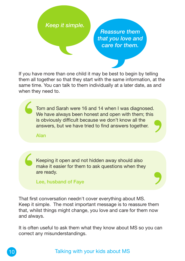### *Keep it simple.*

*Reassure them that you love and care for them.*

**)** 

If you have more than one child it may be best to begin by telling them all together so that they start with the same information, at the same time. You can talk to them individually at a later date, as and when they need to.

Tom and Sarah were 16 and 14 when I was diagnosed. We have always been honest and open with them; this is obviously difficult because we don't know all the answers, but we have tried to find answers together.  $\sum_{\substack{i=1\\i\neq j}}$ **)** 

**Alan**

Keeping it open and not hidden away should also make it easier for them to ask questions when they are ready.

**Lee, husband of Faye**

t<br>
r<br>
e<br>
l<br>
That first That first conversation needn't cover everything about MS. Keep it simple. The most important message is to reassure them that, whilst things might change, you love and care for them now and always.

It is often useful to ask them what they know about MS so you can correct any misunderstandings.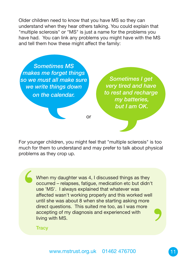Older children need to know that you have MS so they can understand when they hear others talking. You could explain that "multiple sclerosis" or "MS" is just a name for the problems you have had. You can link any problems you might have with the MS and tell them how these might affect the family:

*Sometimes MS makes me forget things so we must all make sure we write things down on the calendar.*

*very tired and have to rest and recharge my batteries, but I am OK.*

*Sometimes I get*

For younger children, you might feel that "multiple sclerosis" is too much for them to understand and may prefer to talk about physical problems as they crop up.

or

When my daughter was 4, I discussed things as they occurred – relapses, fatigue, medication etc but didn't use 'MS'. I always explained that whatever was affected wasn't working properly and this worked well until she was about 8 when she starting asking more direct questions. This suited me too, as I was more accepting of my diagnosis and experienced with living with MS. '

**Tracy**

י<br>9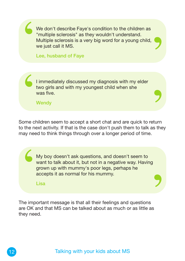

Some children seem to accept a short chat and are quick to return to the next activity. If that is the case don't push them to talk as they may need to think things through over a longer period of time.

My boy doesn't ask questions, and doesn't seem to want to talk about it, but not in a negative way. Having grown up with mummy's poor legs, perhaps he accepts it as normal for his mummy. '

'

**Lisa**

The important message is that all their feelings and questions are OK and that MS can be talked about as much or as little as they need.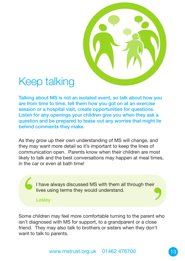

## Keep talking

**Talking about MS is not an isolated event, so talk about how you are from time to time, tell them how you got on at an exercise session or a hospital visit, create opportunities for questions. Listen for any openings your children give you when they ask a question and be prepared to tease out any worries that might lie behind comments they make.**

As they grow up their own understanding of MS will change, and they may want more detail so it's important to keep the lines of communication open. Parents know when their children are most likely to talk and the best conversations may happen at meal times, in the car or even at bath time!

> I have always discussed MS with them all through their lives using terms they would understand.

**Lesley**

Thave always discussed MS with them all through their<br>lives using terms they would understand.<br>Lesley<br>Some children may feel more comfortable turning to the parent who<br>sn't diagnosed with MS for support, to a grandparent o Some children may feel more comfortable turning to the parent who isn't diagnosed with MS for support, to a grandparent or a close friend. They may also talk to brothers or sisters when they don't want to talk to parents.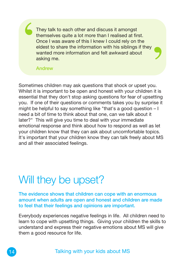They talk to each other and discuss it amongst themselves quite a lot more than I realised at first. Once I was aware of this I knew I could rely on the eldest to share the information with his siblings if they wanted more information and felt awkward about asking me.  $\begin{array}{c}\n\begin{array}{c}\n\bullet \\
\bullet \\
\bullet \\
\bullet \\
\bullet \\
\bullet\n\end{array}\n\end{array}$ 

ן<br>9

**Andrew**

Sometimes children may ask questions that shock or upset you. Whilst it is important to be open and honest with your children it is essential that they don't stop asking questions for fear of upsetting you. If one of their questions or comments takes you by surprise it might be helpful to say something like "that's a good question – I need a bit of time to think about that one, can we talk about it later?" This will give you time to deal with your immediate emotional response and think about how to respond as well as let your children know that they can ask about uncomfortable topics. It's important that your children know they can talk freely about MS and all their associated feelings.

# Will they be upset?

**The evidence shows that children can cope with an enormous amount when adults are open and honest and children are made to feel that their feelings and opinions are important.**

Everybody experiences negative feelings in life. All children need to learn to cope with upsetting things. Giving your children the skills to understand and express their negative emotions about MS will give them a good resource for life.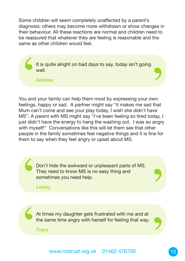Some children will seem completely unaffected by a parent's diagnosis; others may become more withdrawn or show changes in their behaviour. All these reactions are normal and children need to be reassured that whatever they are feeling is reasonable and the same as other children would feel.

It is quite alright on bad days to say, today isn't going well. It is quite alright on bad days to say, today isn't going<br>
well.<br>
Andrew<br>
You and your family can help them most by expressing your own<br>
realings happy or sad. A partner might say "it makes me sad that

**Andrew**

You and your family can help them most by expressing your own feelings, happy or sad. A partner might say "it makes me sad that Mum can't come and see your play today, I wish she didn't have MS". A parent with MS might say "I've been feeling so tired today, I just didn't have the energy to hang the washing out. I was so angry with myself!" Conversations like this will let them see that other people in the family sometimes feel negative things and it is fine for them to say when they feel angry or upset about MS.

Don't hide the awkward or unpleasant parts of MS. They need to know MS is no easy thing and sometimes you need help. '

**Lesley**

At times my daughter gets frustrated with me and at the same time angry with herself for feeling that way. At times my daughter gets frustrated with me and at<br>the same time angry with herself for feeling that way.<br>Tracy<br>www.mstrust.org.uk 01462 476700

**Tracy**

'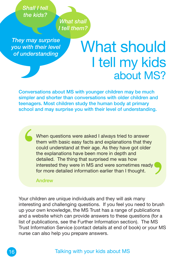*Shall I tell the kids?*

*They may surprise you with their level of understanding*

# What should I tell my kids about MS?

**Conversations about MS with younger children may be much simpler and shorter than conversations with older children and teenagers. Most children study the human body at primary school and may surprise you with their level of understanding.**

*What shall I tell them?*

When questions were asked I always tried to answer them with basic easy facts and explanations that they could understand at their age. As they have got older the explanations have been more in depth and detailed. The thing that surprised me was how interested they were in MS and were sometimes ready for more detailed information earlier than I thought. | י<br>9

**Andrew**

Your children are unique individuals and they will ask many interesting and challenging questions. If you feel you need to brush up your own knowledge, the MS Trust has a range of publications and a website which can provide answers to these questions (for a list of publications, see the Further Information section). The MS Trust Information Service (contact details at end of book) or your MS nurse can also help you prepare answers.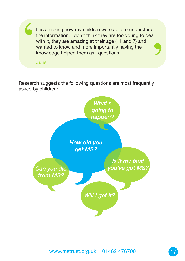It is amazing how my children were able to understand the information. I don't think they are too young to deal with it, they are amazing at their age (11 and 7) and wanted to know and more importantly having the It is amazing how my children were able<br>the information. I don't think they are to<br>with it, they are amazing at their age (1<sup>-</sup><br>wanted to know and more importantly k<br>knowledge helped them ask questions.<br>Julie **)** 

**Julie**

Research suggests the following questions are most frequently asked by children:

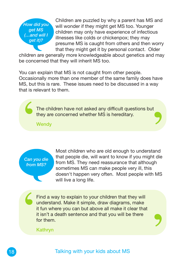

Children are puzzled by why a parent has MS and will wonder if they might get MS too. Younger children may only have experience of infectious illnesses like colds or chickenpox; they may presume MS is caught from others and then worry that they might get it by personal contact. Older

children are generally more knowledgeable about genetics and may be concerned that they will inherit MS too.

You can explain that MS is not caught from other people. Occasionally more than one member of the same family does have MS, but this is rare. These issues need to be discussed in a way that is relevant to them.

The children have not asked any difficult questions but they are concerned whether MS is hereditary. The children have not asked any difficult questions but<br>they are concerned whether MS is hereditary.<br>Wendy

**Wendy**

*Can you die from MS?*

Most children who are old enough to understand that people die, will want to know if you might die from MS. They need reassurance that although sometimes MS can make people very ill, this doesn't happen very often. Most people with MS will live a long life.

<u>)</u>

Find a way to explain to your children that they will understand. Make it simple, draw diagrams, make it fun where you can but above all make it clear that it isn't a death sentence and that you will be there for them. **6** 

**Kathryn**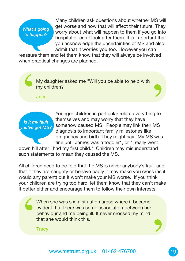*What's going to happen?*

Many children ask questions about whether MS will get worse and how that will affect their future. They worry about what will happen to them if you go into hospital or can't look after them. It is important that you acknowledge the uncertainties of MS and also admit that it worries you too. However you can

reassure them and let them know that they will always be involved when practical changes are planned.

My daughter asked me "Will you be able to help with my children? My daughter asked me "Will you be able to help with<br>
my children?<br>
Julie<br>
Younger children in particular relate everything to<br>
themselves and may worry that they have

**Julie**



Younger children in particular relate everything to themselves and may worry that they have somehow caused MS. People may link their MS diagnosis to important family milestones like pregnancy and birth. They might say "My MS was fine until James was a toddler", or "I really went

down hill after I had my first child." Children may misunderstand such statements to mean they caused the MS.

All children need to be told that the MS is never anybody's fault and that if they are naughty or behave badly it may make you cross (as it would any parent) but it won't make your MS worse. If you think your children are trying too hard, let them know that they can't make it better either and encourage them to follow their own interests.

When she was six, a situation arose where it became evident that there was some association between her behaviour and me being ill. It never crossed my mind that she would think this.  $\begin{array}{c}\n\begin{array}{c}\n\downarrow \\
\downarrow \\
\downarrow \\
\downarrow \\
\downarrow\n\end{array}\n\end{array}$ 

**Tracy**

<u>(</u>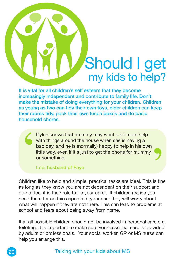# Should I get my kids to help?

**)** 

**It is vital for all children's self esteem that they become increasingly independent and contribute to family life. Don't make the mistake of doing everything for your children. Children as young as two can tidy their own toys, older children can keep their rooms tidy, pack their own lunch boxes and do basic household chores.**

Dylan knows that mummy may want a bit more help with things around the house when she is having a bad day, and he is (normally) happy to help in his own little way, even if it's just to get the phone for mummy or something. |

**Lee, husband of Faye**

Children like to help and simple, practical tasks are ideal. This is fine as long as they know you are not dependent on their support and do not feel it is their role to be your carer. If children realise you need them for certain aspects of your care they will worry about what will happen if they are not there. This can lead to problems at school and fears about being away from home.

If at all possible children should not be involved in personal care e.g. toileting. It is important to make sure your essential care is provided by adults or professionals. Your social worker, GP or MS nurse can help you arrange this.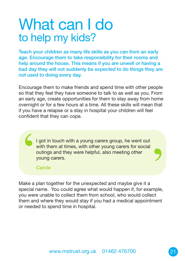# What can I do to help my kids?

**Teach your children as many life skills as you can from an early age. Encourage them to take responsibility for their rooms and help around the house. This means if you are unwell or having a bad day they will not suddenly be expected to do things they are not used to doing every day.**

Encourage them to make friends and spend time with other people so that they feel they have someone to talk to as well as you. From an early age, create opportunities for them to stay away from home overnight or for a few hours at a time. All these skills will mean that if you have a relapse or a stay in hospital your children will feel confident that they can cope.

I got in touch with a young carers group, he went out with them at times, with other young carers for social outings and they were helpful, also meeting other young carers. '

**Carole**

Make a plan together for the unexpected and maybe give it a special name. You could agree what would happen if, for example, you were unable to collect them from school, who would collect them and where they would stay if you had a medical appointment or needed to spend time in hospital.

**)**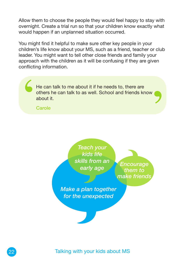Allow them to choose the people they would feel happy to stay with overnight. Create a trial run so that your children know exactly what would happen if an unplanned situation occurred.

' You might find it helpful to make sure other key people in your children's life know about your MS, such as a friend, teacher or club leader. You might want to tell other close friends and family your approach with the children as it will be confusing if they are given conflicting information.

He can talk to me about it if he needs to, there are others he can talk to as well. School and friends know about it. '

**Carole**

*Teach your kids life skills from an early age*

*Encourage them to make friends*

*Make a plan together for the unexpected*

Talking with your kids about MS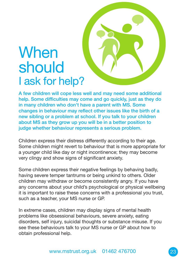# **When** should I ask for help?

**A few children will cope less well and may need some additional help. Some difficulties may come and go quickly, just as they do in many children who don't have a parent with MS. Some changes in behaviour may reflect other issues like the birth of a new sibling or a problem at school. If you talk to your children about MS as they grow up you will be in a better position to judge whether behaviour represents a serious problem.**

Children express their distress differently according to their age. Some children might revert to behaviour that is more appropriate for a younger child like day or night incontinence; they may become very clingy and show signs of significant anxiety.

Some children express their negative feelings by behaving badly, having severe temper tantrums or being unkind to others. Older children may withdraw or become consistently angry. If you have any concerns about your child's psychological or physical wellbeing it is important to raise these concerns with a professional you trust, such as a teacher, your MS nurse or GP.

In extreme cases, children may display signs of mental health problems like obsessional behaviours, severe anxiety, eating disorders, self injury, suicidal thoughts or substance misuse. If you see these behaviours talk to your MS nurse or GP about how to obtain professional help.

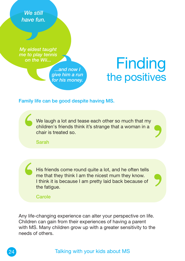*We still have fun.*

*My eldest taught me to play tennis on the Wii...*

> *...and now I give him a run for his money.*

# **Finding** the positives

'

'

#### **Family life can be good despite having MS.**

We laugh a lot and tease each other so much that my children's friends think it's strange that a woman in a chair is treated so. S :

**Sarah**

His friends come round quite a lot, and he often tells me that they think I am the nicest mum they know. I think it is because I am pretty laid back because of the fatigue. '

**Carole**

Any life-changing experience can alter your perspective on life. Children can gain from their experiences of having a parent with MS. Many children grow up with a greater sensitivity to the needs of others.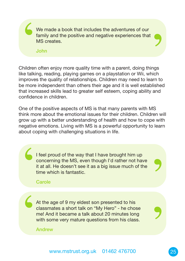We made a book that includes the adventures of our family and the positive and negative experiences that MS creates.

**John**

' Children often enjoy more quality time with a parent, doing things like talking, reading, playing games on a playstation or Wii, which improves the quality of relationships. Children may need to learn to be more independent than others their age and it is well established that increased skills lead to greater self esteem, coping ability and confidence in children.

One of the positive aspects of MS is that many parents with MS think more about the emotional issues for their children. Children will grow up with a better understanding of health and how to cope with negative emotions. Living with MS is a powerful opportunity to learn about coping with challenging situations in life.

I feel proud of the way that I have brought him up concerning the MS, even though I'd rather not have it at all. He doesn't see it as a big issue much of the time which is fantastic.  $\left\{ \begin{array}{c} 1 \\ 1 \\ 1 \\ 1 \\ 1 \end{array} \right.$ 

#### **Carole**

At the age of 9 my eldest son presented to his classmates a short talk on "My Hero" - he chose me! And it became a talk about 20 minutes long with some very mature questions from his class.  $\left($ 

**Andrew**

'

'

'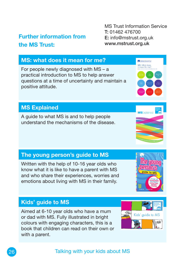## Talking with your kids about MS

## **Kids' guide to MS**

Aimed at 6-10 year olds who have a mum or dad with MS. Fully illustrated in bright colours with engaging characters, this is a book that children can read on their own or with a parent.

## **MS Explained**

A guide to what MS is and to help people understand the mechanisms of the disease.

**The young person's guide to MS**

Written with the help of 10-16 year olds who know what it is like to have a parent with MS and who share their experiences, worries and emotions about living with MS in their family.

### **MS: what does it mean for me?**

For people newly diagnosed with MS – a practical introduction to MS to help answer questions at a time of uncertainty and maintain a positive attitude.

## **Further information from the MS Trust:**

MS Trust Information Service **T:** 01462 476700 **E:** info@mstrust.org.uk **www.mstrust.org.uk**

> Multiple Sclerosis Trus MS: What doe<br>it mean for me

**MS**Explained





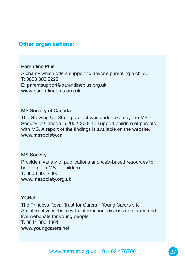### **Other organisations:**

#### **Parentline Plus**

A charity which offers support to anyone parenting a child. **T:** 0808 800 2222 **E:** parentsupport@parentlineplus.org.uk **www.parentlineplus.org.uk**

#### **MS Society of Canada**

The Growing Up Strong project was undertaken by the MS Society of Canada in 2002-2004 to support children of parents with MS. A report of the findings is available on the website. **www.mssociety.ca**

#### **MS Society**

Provide a variety of publications and web-based resources to help explain MS to children. **T:** 0808 800 8000 **www.mssociety.org.uk**

#### **YCNet**

The Princess Royal Trust for Carers - Young Carers site An interactive website with information, discussion boards and live webchats for young people. **T:** 0844 800 4361 **www.youngcarers.net**